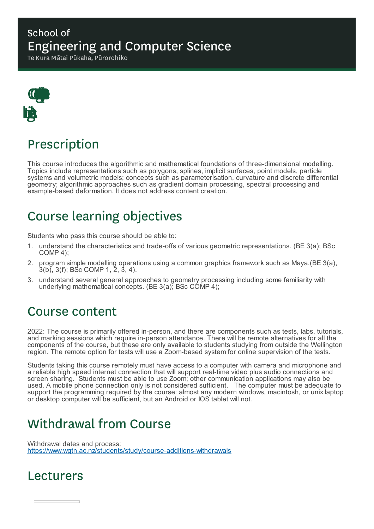### School of Engineering and Computer Science

Te Kura Mātai Pūkaha, Pūrorohiko



# Prescription

This course introduces the algorithmic and mathematical foundations of three-dimensional modelling. Topics include representations such as polygons, splines, implicit surfaces, point models, particle systems and volumetric models; concepts such as parameterisation, curvature and discrete differential geometry; algorithmic approaches such as gradient domain processing, spectral processing and example-based deformation. It does not address content creation.

# Course learning objectives

Students who pass this course should be able to:

- 1. understand the characteristics and trade-offs of various geometric representations. (BE 3(a); BSc COMP 4);
- 2. program simple modelling operations using a common graphics framework such as Maya.(BE 3(a), 3(b), 3(f); BSc COMP 1, 2, 3, 4).
- 3. understand several general approaches to geometry processing including some familiarity with underlying mathematical concepts. (BE 3(a); BSc COMP 4);

### Course content

2022: The course is primarily offered in-person, and there are components such as tests, labs, tutorials, and marking sessions which require in-person attendance. There will be remote alternatives for all the components of the course, but these are only available to students studying from outside the Wellington region. The remote option for tests will use a Zoom-based system for online supervision of the tests.

Students taking this course remotely must have access to a computer with camera and microphone and a reliable high speed internet connection that will support real-time video plus audio connections and screen sharing. Students must be able to use Zoom; other communication applications may also be used. A mobile phone connection only is not considered sufficient. The computer must be adequate to support the programming required by the course: almost any modern windows, macintosh, or unix laptop or desktop computer will be sufficient, but an Android or IOS tablet will not.

# Withdrawal from Course

Withdrawal dates and process: https://www.wgtn.ac.nz/students/study/course-additions-withdrawals

### Lecturers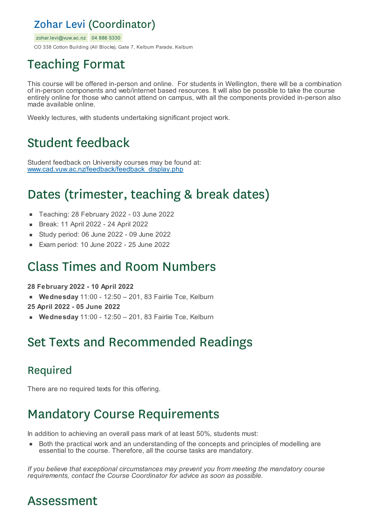### Zohar Levi (Coordinator)

zohar.levi@vuw.ac.nz 04 886 5330

CO 338 Cotton Building (All Blocks), Gate 7, Kelburn Parade, Kelburn

# Teaching Format

This course will be offered in-person and online. For students in Wellington, there will be a combination of in-person components and web/internet based resources. It will also be possible to take the course entirely online for those who cannot attend on campus, with all the components provided in-person also made available online.

Weekly lectures, with students undertaking significant project work.

# Student feedback

Student feedback on University courses may be found at: www.cad.vuw.ac.nz/feedback/feedback\_display.php

# Dates (trimester, teaching & break dates)

- Teaching: 28 February 2022 03 June 2022  $\blacksquare$
- Break: 11 April 2022 24 April 2022  $\blacksquare$
- Study period: 06 June 2022 09 June 2022
- Exam period: 10 June 2022 25 June 2022

### Class Times and Room Numbers

**28 February 2022 - 10 April 2022**

- **Wednesday** 11:00 12:50 201, 83 Fairlie Tce, Kelburn
- **25 April 2022 - 05 June 2022**
- **Wednesday** 11:00 12:50 201, 83 Fairlie Tce, Kelburn

# Set Texts and Recommended Readings

### Required

There are no required texts for this offering.

### Mandatory Course Requirements

In addition to achieving an overall pass mark of at least 50%, students must:

Both the practical work and an understanding of the concepts and principles of modelling are essential to the course. Therefore, all the course tasks are mandatory.

*If you believe that exceptional circumstances may prevent you from meeting the mandatory course requirements, contact the Course Coordinator for advice as soon as possible.*

### Assessment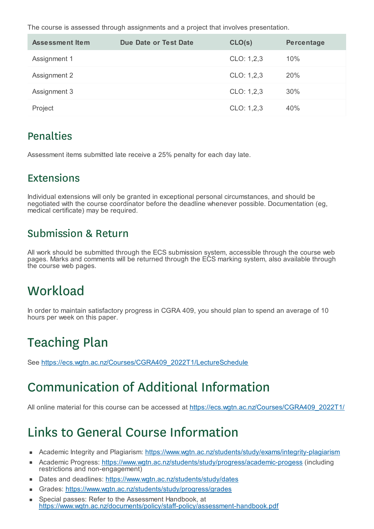The course is assessed through assignments and a project that involves presentation.

| <b>Assessment Item</b> | Due Date or Test Date | CLO(s)     | Percentage |
|------------------------|-----------------------|------------|------------|
| Assignment 1           |                       | CLO: 1,2,3 | 10%        |
| Assignment 2           |                       | CLO: 1,2,3 | 20%        |
| Assignment 3           |                       | CLO: 1,2,3 | 30%        |
| Project                |                       | CLO: 1,2,3 | 40%        |

#### **Penalties**

Assessment items submitted late receive a 25% penalty for each day late.

#### Extensions

Individual extensions will only be granted in exceptional personal circumstances, and should be negotiated with the course coordinator before the deadline whenever possible. Documentation (eg, medical certificate) may be required.

### Submission & Return

All work should be submitted through the ECS submission system, accessible through the course web pages. Marks and comments will be returned through the ECS marking system, also available through the course web pages.

# **Workload**

In order to maintain satisfactory progress in CGRA 409, you should plan to spend an average of 10 hours per week on this paper.

# Teaching Plan

See https://ecs.wgtn.ac.nz/Courses/CGRA409\_2022T1/LectureSchedule

# Communication of Additional Information

All online material for this course can be accessed at https://ecs.wgtn.ac.nz/Courses/CGRA409\_2022T1/

# Links to General Course Information

- Academic Integrity and Plagiarism: https://www.wgtn.ac.nz/students/study/exams/integrity-plagiarism  $\blacksquare$
- Academic Progress: https://www.wgtn.ac.nz/students/study/progress/academic-progess (including É restrictions and non-engagement)
- Dates and deadlines: https://www.wgtn.ac.nz/students/study/dates
- Grades: https://www.wgtn.ac.nz/students/study/progress/grades ×
- Special passes: Refer to the Assessment Handbook, at https://www.wgtn.ac.nz/documents/policy/staff-policy/assessment-handbook.pdf